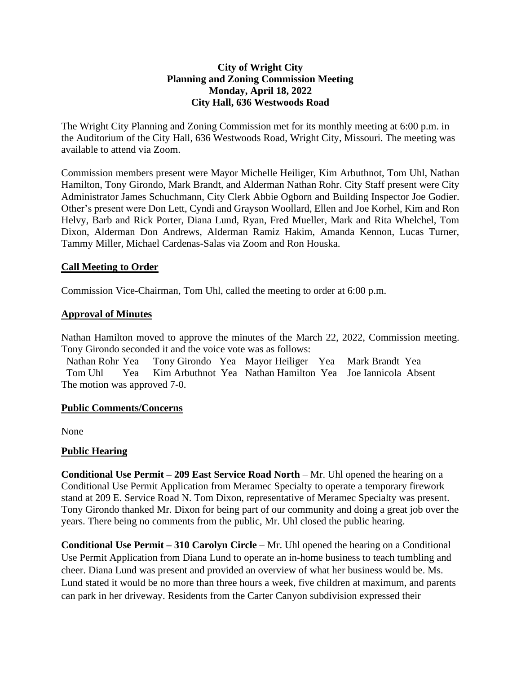# **City of Wright City Planning and Zoning Commission Meeting Monday, April 18, 2022 City Hall, 636 Westwoods Road**

The Wright City Planning and Zoning Commission met for its monthly meeting at 6:00 p.m. in the Auditorium of the City Hall, 636 Westwoods Road, Wright City, Missouri. The meeting was available to attend via Zoom.

Commission members present were Mayor Michelle Heiliger, Kim Arbuthnot, Tom Uhl, Nathan Hamilton, Tony Girondo, Mark Brandt, and Alderman Nathan Rohr. City Staff present were City Administrator James Schuchmann, City Clerk Abbie Ogborn and Building Inspector Joe Godier. Other's present were Don Lett, Cyndi and Grayson Woollard, Ellen and Joe Korhel, Kim and Ron Helvy, Barb and Rick Porter, Diana Lund, Ryan, Fred Mueller, Mark and Rita Whelchel, Tom Dixon, Alderman Don Andrews, Alderman Ramiz Hakim, Amanda Kennon, Lucas Turner, Tammy Miller, Michael Cardenas-Salas via Zoom and Ron Houska.

## **Call Meeting to Order**

Commission Vice-Chairman, Tom Uhl, called the meeting to order at 6:00 p.m.

## **Approval of Minutes**

Nathan Hamilton moved to approve the minutes of the March 22, 2022, Commission meeting. Tony Girondo seconded it and the voice vote was as follows:

 Nathan Rohr Yea Tony Girondo Yea Mayor Heiliger Yea Mark Brandt Yea Tom Uhl Yea Kim Arbuthnot Yea Nathan Hamilton Yea Joe Iannicola Absent The motion was approved 7-0.

## **Public Comments/Concerns**

None

## **Public Hearing**

**Conditional Use Permit – 209 East Service Road North** – Mr. Uhl opened the hearing on a Conditional Use Permit Application from Meramec Specialty to operate a temporary firework stand at 209 E. Service Road N. Tom Dixon, representative of Meramec Specialty was present. Tony Girondo thanked Mr. Dixon for being part of our community and doing a great job over the years. There being no comments from the public, Mr. Uhl closed the public hearing.

**Conditional Use Permit – 310 Carolyn Circle** – Mr. Uhl opened the hearing on a Conditional Use Permit Application from Diana Lund to operate an in-home business to teach tumbling and cheer. Diana Lund was present and provided an overview of what her business would be. Ms. Lund stated it would be no more than three hours a week, five children at maximum, and parents can park in her driveway. Residents from the Carter Canyon subdivision expressed their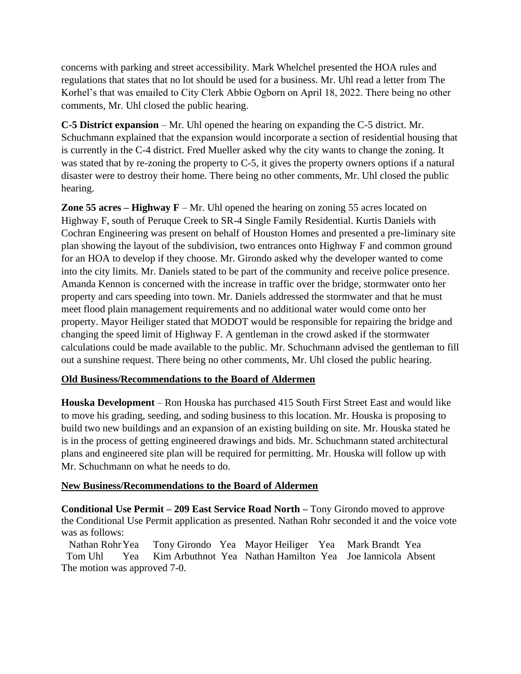concerns with parking and street accessibility. Mark Whelchel presented the HOA rules and regulations that states that no lot should be used for a business. Mr. Uhl read a letter from The Korhel's that was emailed to City Clerk Abbie Ogborn on April 18, 2022. There being no other comments, Mr. Uhl closed the public hearing.

**C-5 District expansion** – Mr. Uhl opened the hearing on expanding the C-5 district. Mr. Schuchmann explained that the expansion would incorporate a section of residential housing that is currently in the C-4 district. Fred Mueller asked why the city wants to change the zoning. It was stated that by re-zoning the property to C-5, it gives the property owners options if a natural disaster were to destroy their home. There being no other comments, Mr. Uhl closed the public hearing.

**Zone 55 acres – Highway F** – Mr. Uhl opened the hearing on zoning 55 acres located on Highway F, south of Peruque Creek to SR-4 Single Family Residential. Kurtis Daniels with Cochran Engineering was present on behalf of Houston Homes and presented a pre-liminary site plan showing the layout of the subdivision, two entrances onto Highway F and common ground for an HOA to develop if they choose. Mr. Girondo asked why the developer wanted to come into the city limits. Mr. Daniels stated to be part of the community and receive police presence. Amanda Kennon is concerned with the increase in traffic over the bridge, stormwater onto her property and cars speeding into town. Mr. Daniels addressed the stormwater and that he must meet flood plain management requirements and no additional water would come onto her property. Mayor Heiliger stated that MODOT would be responsible for repairing the bridge and changing the speed limit of Highway F. A gentleman in the crowd asked if the stormwater calculations could be made available to the public. Mr. Schuchmann advised the gentleman to fill out a sunshine request. There being no other comments, Mr. Uhl closed the public hearing.

## **Old Business/Recommendations to the Board of Aldermen**

**Houska Development** – Ron Houska has purchased 415 South First Street East and would like to move his grading, seeding, and soding business to this location. Mr. Houska is proposing to build two new buildings and an expansion of an existing building on site. Mr. Houska stated he is in the process of getting engineered drawings and bids. Mr. Schuchmann stated architectural plans and engineered site plan will be required for permitting. Mr. Houska will follow up with Mr. Schuchmann on what he needs to do.

## **New Business/Recommendations to the Board of Aldermen**

**Conditional Use Permit – 209 East Service Road North –** Tony Girondo moved to approve the Conditional Use Permit application as presented. Nathan Rohr seconded it and the voice vote was as follows:

 Nathan RohrYea Tony Girondo Yea Mayor Heiliger Yea Mark Brandt Yea Tom Uhl Yea Kim Arbuthnot Yea Nathan Hamilton Yea Joe Iannicola Absent The motion was approved 7-0.